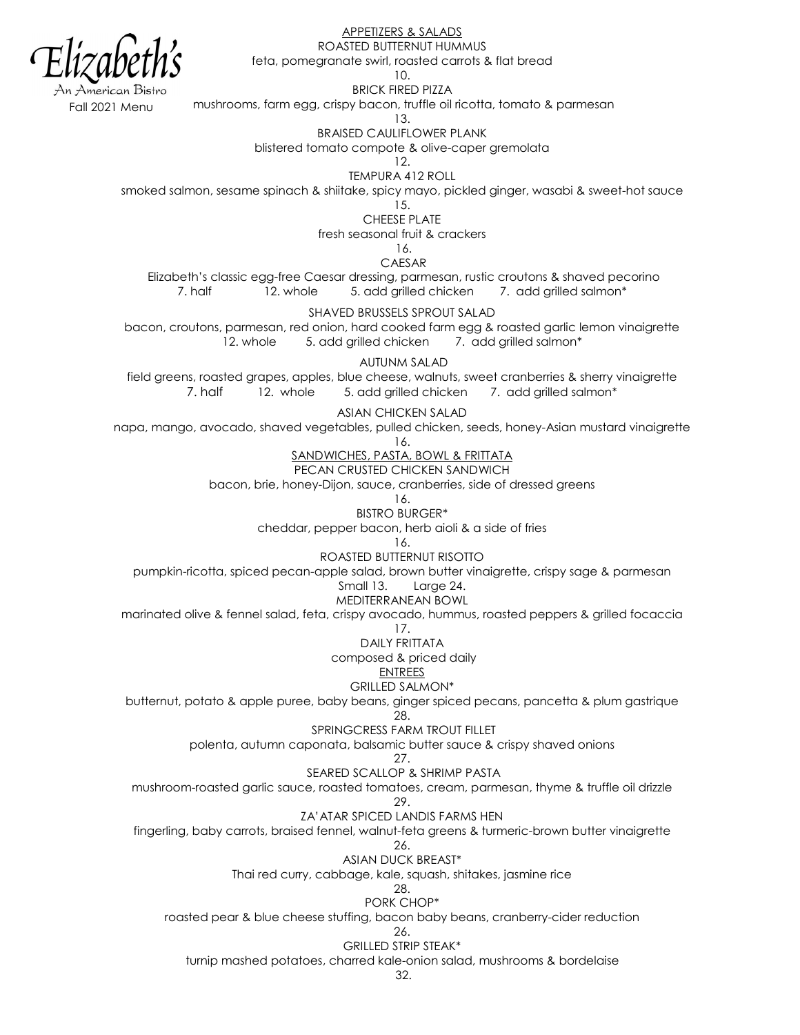merican Bistro

APPETIZERS & SALADS

ROASTED BUTTERNUT HUMMUS feta, pomegranate swirl, roasted carrots & flat bread

10.

BRICK FIRED PIZZA

all 2021 Menu mushrooms, farm egg, crispy bacon, truffle oil ricotta, tomato & parmesan

13.

BRAISED CAULIFLOWER PLANK

blistered tomato compote & olive-caper gremolata

12.

TEMPURA 412 ROLL smoked salmon, sesame spinach & shiitake, spicy mayo, pickled ginger, wasabi & sweet-hot sauce

15.

CHEESE PLATE

fresh seasonal fruit & crackers

16.

CAESAR

Elizabeth's classic egg-free Caesar dressing, parmesan, rustic croutons & shaved pecorino<br>7. half 12. whole 5. add arilled chicken 7. add grilled salmon\* 7. half 12. whole 5. add grilled chicken 7. add grilled salmon\*

SHAVED BRUSSELS SPROUT SALAD

bacon, croutons, parmesan, red onion, hard cooked farm egg & roasted garlic lemon vinaigrette 12. whole 5. add grilled chicken 7. add grilled salmon\*

AUTUNM SALAD

field greens, roasted grapes, apples, blue cheese, walnuts, sweet cranberries & sherry vinaigrette 7. half 12. whole 5. add grilled chicken 7. add grilled salmon\*

ASIAN CHICKEN SALAD

napa, mango, avocado, shaved vegetables, pulled chicken, seeds, honey-Asian mustard vinaigrette

16.

SANDWICHES, PASTA, BOWL & FRITTATA

PECAN CRUSTED CHICKEN SANDWICH

bacon, brie, honey-Dijon, sauce, cranberries, side of dressed greens

16. BISTRO BURGER\*

cheddar, pepper bacon, herb aioli & a side of fries

16.

ROASTED BUTTERNUT RISOTTO

pumpkin-ricotta, spiced pecan-apple salad, brown butter vinaigrette, crispy sage & parmesan

Small 13. Large 24.

MEDITERRANEAN BOWL

marinated olive & fennel salad, feta, crispy avocado, hummus, roasted peppers & grilled focaccia

17.

DAILY FRITTATA

composed & priced daily

ENTREES

GRILLED SALMON\*

butternut, potato & apple puree, baby beans, ginger spiced pecans, pancetta & plum gastrique 28.

SPRINGCRESS FARM TROUT FILLET

polenta, autumn caponata, balsamic butter sauce & crispy shaved onions

27. SEARED SCALLOP & SHRIMP PASTA

mushroom-roasted garlic sauce, roasted tomatoes, cream, parmesan, thyme & truffle oil drizzle

29.

ZA'ATAR SPICED LANDIS FARMS HEN fingerling, baby carrots, braised fennel, walnut-feta greens & turmeric-brown butter vinaigrette

26.

ASIAN DUCK BREAST\*

Thai red curry, cabbage, kale, squash, shitakes, jasmine rice

28.

PORK CHOP\* roasted pear & blue cheese stuffing, bacon baby beans, cranberry-cider reduction

26.

GRILLED STRIP STEAK\*

turnip mashed potatoes, charred kale-onion salad, mushrooms & bordelaise